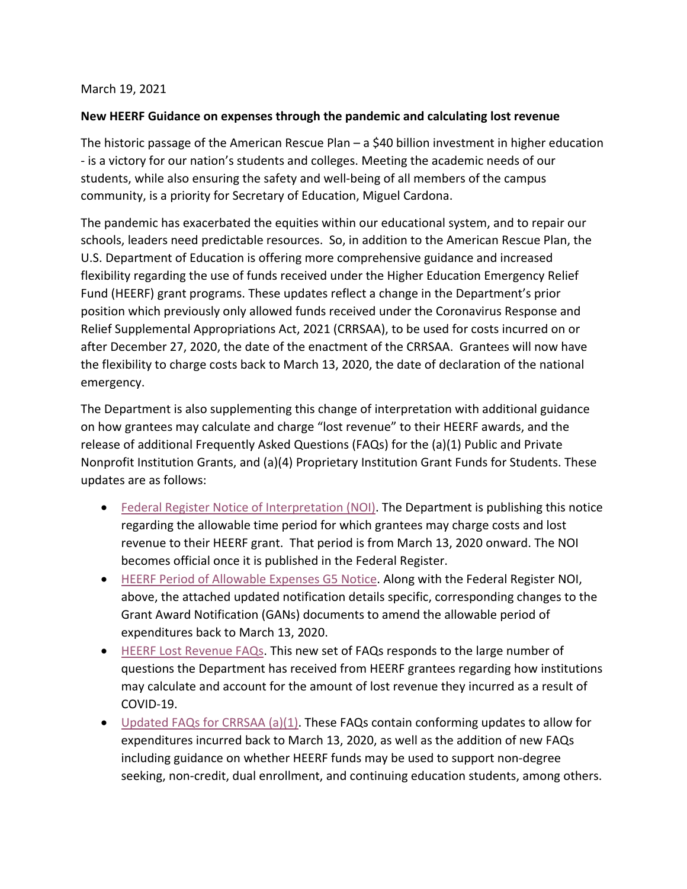## March 19, 2021

## **New HEERF Guidance on expenses through the pandemic and calculating lost revenue**

The historic passage of the American Rescue Plan – a \$40 billion investment in higher education - is a victory for our nation's students and colleges. Meeting the academic needs of our students, while also ensuring the safety and well-being of all members of the campus community, is a priority for Secretary of Education, Miguel Cardona.

The pandemic has exacerbated the equities within our educational system, and to repair our schools, leaders need predictable resources. So, in addition to the American Rescue Plan, the U.S. Department of Education is offering more comprehensive guidance and increased flexibility regarding the use of funds received under the Higher Education Emergency Relief Fund (HEERF) grant programs. These updates reflect a change in the Department's prior position which previously only allowed funds received under the Coronavirus Response and Relief Supplemental Appropriations Act, 2021 (CRRSAA), to be used for costs incurred on or after December 27, 2020, the date of the enactment of the CRRSAA. Grantees will now have the flexibility to charge costs back to March 13, 2020, the date of declaration of the national emergency.

The Department is also supplementing this change of interpretation with additional guidance on how grantees may calculate and charge "lost revenue" to their HEERF awards, and the release of additional Frequently Asked Questions (FAQs) for the (a)(1) Public and Private Nonprofit Institution Grants, and (a)(4) Proprietary Institution Grant Funds for Students. These updates are as follows:

- [Federal Register Notice of Interpretation \(NOI\).](https://www2.ed.gov/about/offices/list/ope/heerfinterpretationnotice.pdf) The Department is publishing this notice regarding the allowable time period for which grantees may charge costs and lost revenue to their HEERF grant. That period is from March 13, 2020 onward. The NOI becomes official once it is published in the Federal Register.
- [HEERF Period of Allowable Expenses](https://www2.ed.gov/about/offices/list/ope/heerfg5notice.pdf) G5 Notice. Along with the Federal Register NOI, above, the attached updated notification details specific, corresponding changes to the Grant Award Notification (GANs) documents to amend the allowable period of expenditures back to March 13, 2020.
- [HEERF Lost Revenue FAQs.](https://www2.ed.gov/about/offices/list/ope/heerflostrevenuefaqs.pdf) This new set of FAQs responds to the large number of questions the Department has received from HEERF grantees regarding how institutions may calculate and account for the amount of lost revenue they incurred as a result of COVID-19.
- [Updated FAQs for CRRSAA \(a\)\(1\).](https://www2.ed.gov/about/offices/list/ope/updatedfaqsfora1crrssaheerfii.pdf) These FAQs contain conforming updates to allow for expenditures incurred back to March 13, 2020, as well as the addition of new FAQs including guidance on whether HEERF funds may be used to support non-degree seeking, non-credit, dual enrollment, and continuing education students, among others.